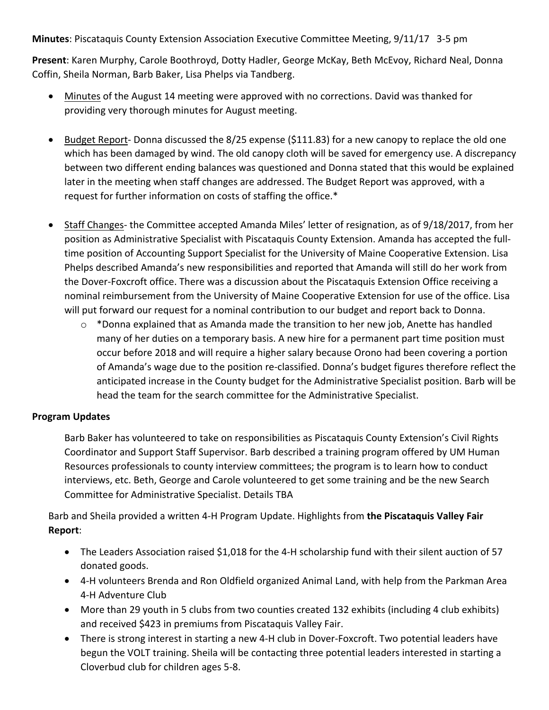**Minutes**: Piscataquis County Extension Association Executive Committee Meeting, 9/11/17 3-5 pm

Present: Karen Murphy, Carole Boothroyd, Dotty Hadler, George McKay, Beth McEvoy, Richard Neal, Donna Coffin, Sheila Norman, Barb Baker, Lisa Phelps via Tandberg.

- Minutes of the August 14 meeting were approved with no corrections. David was thanked for providing very thorough minutes for August meeting.
- Budget Report- Donna discussed the 8/25 expense (\$111.83) for a new canopy to replace the old one which has been damaged by wind. The old canopy cloth will be saved for emergency use. A discrepancy between two different ending balances was questioned and Donna stated that this would be explained later in the meeting when staff changes are addressed. The Budget Report was approved, with a request for further information on costs of staffing the office.\*
- Staff Changes- the Committee accepted Amanda Miles' letter of resignation, as of 9/18/2017, from her position as Administrative Specialist with Piscataquis County Extension. Amanda has accepted the fulltime position of Accounting Support Specialist for the University of Maine Cooperative Extension. Lisa Phelps described Amanda's new responsibilities and reported that Amanda will still do her work from the Dover-Foxcroft office. There was a discussion about the Piscataquis Extension Office receiving a nominal reimbursement from the University of Maine Cooperative Extension for use of the office. Lisa will put forward our request for a nominal contribution to our budget and report back to Donna.
	- $\circ$  \*Donna explained that as Amanda made the transition to her new job, Anette has handled many of her duties on a temporary basis. A new hire for a permanent part time position must occur before 2018 and will require a higher salary because Orono had been covering a portion of Amanda's wage due to the position re-classified. Donna's budget figures therefore reflect the anticipated increase in the County budget for the Administrative Specialist position. Barb will be head the team for the search committee for the Administrative Specialist.

## **Program Updates**

Barb Baker has volunteered to take on responsibilities as Piscataquis County Extension's Civil Rights Coordinator and Support Staff Supervisor. Barb described a training program offered by UM Human Resources professionals to county interview committees; the program is to learn how to conduct interviews, etc. Beth, George and Carole volunteered to get some training and be the new Search Committee for Administrative Specialist. Details TBA

Barb and Sheila provided a written 4-H Program Update. Highlights from the Piscataquis Valley Fair **Report**: 

- The Leaders Association raised \$1,018 for the 4-H scholarship fund with their silent auction of 57 donated goods.
- 4-H volunteers Brenda and Ron Oldfield organized Animal Land, with help from the Parkman Area 4-H Adventure Club
- More than 29 youth in 5 clubs from two counties created 132 exhibits (including 4 club exhibits) and received \$423 in premiums from Piscataquis Valley Fair.
- There is strong interest in starting a new 4-H club in Dover-Foxcroft. Two potential leaders have begun the VOLT training. Sheila will be contacting three potential leaders interested in starting a Cloverbud club for children ages 5-8.